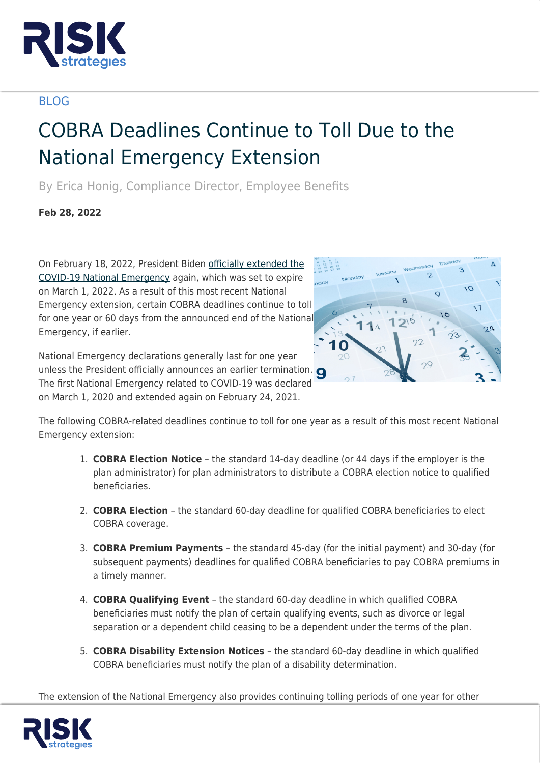

## BLOG

## COBRA Deadlines Continue to Toll Due to the National Emergency Extension

By Erica Honig, Compliance Director, Employee Benefits

**Feb 28, 2022**

On February 18, 2022, President Biden [officially extended the](https://www.whitehouse.gov/briefing-room/presidential-actions/2022/02/18/notice-on-the-continuation-of-the-national-emergency-concerning-the-coronavirus-disease-2019-covid-19-pandemic-2/) [COVID-19 National Emergency](https://www.whitehouse.gov/briefing-room/presidential-actions/2022/02/18/notice-on-the-continuation-of-the-national-emergency-concerning-the-coronavirus-disease-2019-covid-19-pandemic-2/) again, which was set to expire on March 1, 2022. As a result of this most recent National Emergency extension, certain COBRA deadlines continue to toll for one year or 60 days from the announced end of the National Emergency, if earlier.

National Emergency declarations generally last for one year unless the President officially announces an earlier termination. The first National Emergency related to COVID-19 was declared on March 1, 2020 and extended again on February 24, 2021.



The following COBRA-related deadlines continue to toll for one year as a result of this most recent National Emergency extension:

- 1. **COBRA Election Notice** the standard 14-day deadline (or 44 days if the employer is the plan administrator) for plan administrators to distribute a COBRA election notice to qualified beneficiaries.
- 2. **COBRA Election** the standard 60-day deadline for qualified COBRA beneficiaries to elect COBRA coverage.
- 3. **COBRA Premium Payments**  the standard 45-day (for the initial payment) and 30-day (for subsequent payments) deadlines for qualified COBRA beneficiaries to pay COBRA premiums in a timely manner.
- 4. **COBRA Qualifying Event** the standard 60-day deadline in which qualified COBRA beneficiaries must notify the plan of certain qualifying events, such as divorce or legal separation or a dependent child ceasing to be a dependent under the terms of the plan.
- 5. **COBRA Disability Extension Notices**  the standard 60-day deadline in which qualified COBRA beneficiaries must notify the plan of a disability determination.

The extension of the National Emergency also provides continuing tolling periods of one year for other